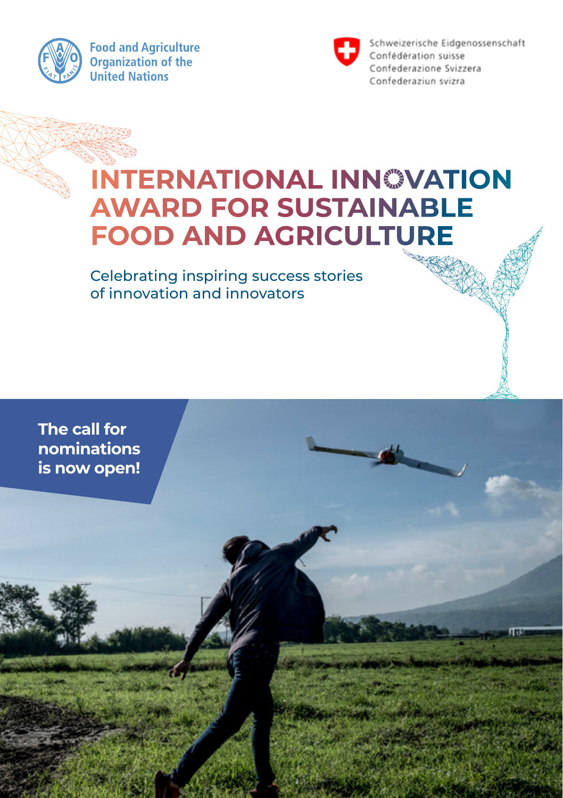

**Food and Agriculture** Organization of the **United Nations** 



## **INTERNATIONAL INNOVATION AWARD FOR SUSTAINABLE FOOD AND AGRICULTURE**

Celebrating inspiring success stories of innovation and innovators